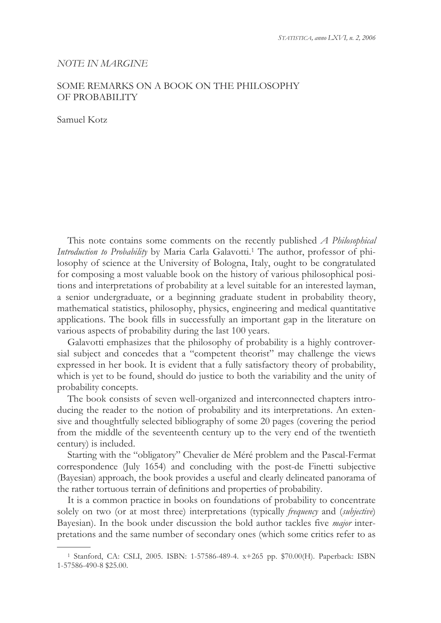## *NOTE IN MARGINE*

## SOME REMARKS ON A BOOK ON THE PHILOSOPHY OF PROBABILITY

Samuel Kotz

 $\overline{a}$ 

This note contains some comments on the recently published *A Philosophical*  Introduction to Probability by Maria Carla Galavotti.<sup>1</sup> The author, professor of philosophy of science at the University of Bologna, Italy, ought to be congratulated for composing a most valuable book on the history of various philosophical positions and interpretations of probability at a level suitable for an interested layman, a senior undergraduate, or a beginning graduate student in probability theory, mathematical statistics, philosophy, physics, engineering and medical quantitative applications. The book fills in successfully an important gap in the literature on various aspects of probability during the last 100 years.

Galavotti emphasizes that the philosophy of probability is a highly controversial subject and concedes that a "competent theorist" may challenge the views expressed in her book. It is evident that a fully satisfactory theory of probability, which is yet to be found, should do justice to both the variability and the unity of probability concepts.

The book consists of seven well-organized and interconnected chapters introducing the reader to the notion of probability and its interpretations. An extensive and thoughtfully selected bibliography of some 20 pages (covering the period from the middle of the seventeenth century up to the very end of the twentieth century) is included.

Starting with the "obligatory" Chevalier de Méré problem and the Pascal-Fermat correspondence (July 1654) and concluding with the post-de Finetti subjective (Bayesian) approach, the book provides a useful and clearly delineated panorama of the rather tortuous terrain of definitions and properties of probability.

It is a common practice in books on foundations of probability to concentrate solely on two (or at most three) interpretations (typically *frequency* and (*subjective*) Bayesian). In the book under discussion the bold author tackles five *major* interpretations and the same number of secondary ones (which some critics refer to as

<sup>1</sup> Stanford, CA: CSLI, 2005. ISBN: 1-57586-489-4. x+265 pp. \$70.00(H). Paperback: ISBN 1-57586-490-8 \$25.00.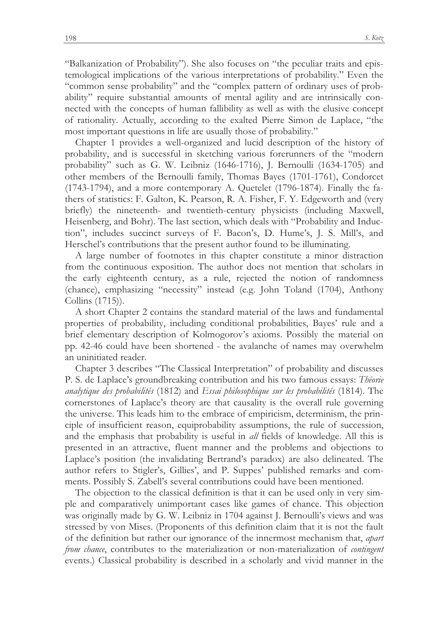"Balkanization of Probability"). She also focuses on "the peculiar traits and epistemological implications of the various interpretations of probability." Even the "common sense probability" and the "complex pattern of ordinary uses of probability" require substantial amounts of mental agility and are intrinsically connected with the concepts of human fallibility as well as with the elusive concept of rationality. Actually, according to the exalted Pierre Simon de Laplace, "the most important questions in life are usually those of probability."

Chapter 1 provides a well-organized and lucid description of the history of probability, and is successful in sketching various forerunners of the "modern probability" such as G. W. Leibniz (1646-1716), J. Bernoulli (1634-1705) and other members of the Bernoulli family, Thomas Bayes (1701-1761), Condorcet (1743-1794), and a more contemporary A. Quetelet (1796-1874). Finally the fathers of statistics: F. Galton, K. Pearson, R. A. Fisher, F. Y. Edgeworth and (very briefly) the nineteenth- and twentieth-century physicists (including Maxwell, Heisenberg, and Bohr). The last section, which deals with "Probability and Induction", includes succinct surveys of F. Bacon's, D. Hume's, J. S. Mill's, and Herschel's contributions that the present author found to be illuminating.

A large number of footnotes in this chapter constitute a minor distraction from the continuous exposition. The author does not mention that scholars in the early eighteenth century, as a rule, rejected the notion of randomness (chance), emphasizing "necessity" instead (e.g. John Toland (1704), Anthony Collins (1715)).

A short Chapter 2 contains the standard material of the laws and fundamental properties of probability, including conditional probabilities, Bayes' rule and a brief elementary description of Kolmogorov's axioms. Possibly the material on pp. 42-46 could have been shortened - the avalanche of names may overwhelm an uninitiated reader.

Chapter 3 describes "The Classical Interpretation" of probability and discusses P. S. de Laplace's groundbreaking contribution and his two famous essays: *Théorie analytique des probabilités* (1812) and *Essai philosophique sur les probabilités* (1814). The cornerstones of Laplace's theory are that causality is the overall rule governing the universe. This leads him to the embrace of empiricism, determinism, the principle of insufficient reason, equiprobability assumptions, the rule of succession, and the emphasis that probability is useful in *all* fields of knowledge. All this is presented in an attractive, fluent manner and the problems and objections to Laplace's position (the invalidating Bertrand's paradox) are also delineated. The author refers to Stigler's, Gillies', and P. Suppes' published remarks and comments. Possibly S. Zabell's several contributions could have been mentioned.

The objection to the classical definition is that it can be used only in very simple and comparatively unimportant cases like games of chance. This objection was originally made by G. W. Leibniz in 1704 against J. Bernoulli's views and was stressed by von Mises. (Proponents of this definition claim that it is not the fault of the definition but rather our ignorance of the innermost mechanism that, *apart from chance*, contributes to the materialization or non-materialization of *contingent* events.) Classical probability is described in a scholarly and vivid manner in the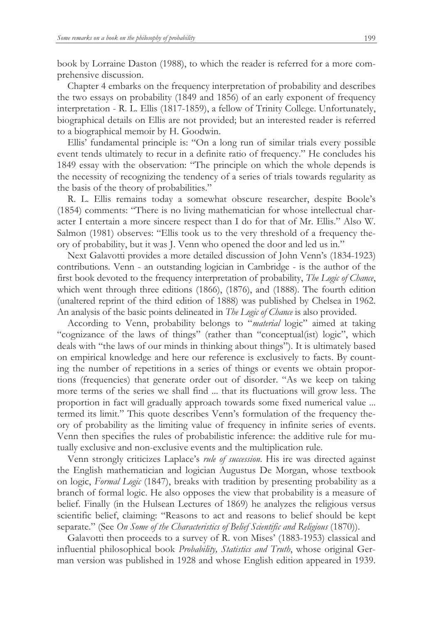book by Lorraine Daston (1988), to which the reader is referred for a more comprehensive discussion.

Chapter 4 embarks on the frequency interpretation of probability and describes the two essays on probability (1849 and 1856) of an early exponent of frequency interpretation - R. L. Ellis (1817-1859), a fellow of Trinity College. Unfortunately, biographical details on Ellis are not provided; but an interested reader is referred to a biographical memoir by H. Goodwin.

Ellis' fundamental principle is: "On a long run of similar trials every possible event tends ultimately to recur in a definite ratio of frequency." He concludes his 1849 essay with the observation: "The principle on which the whole depends is the necessity of recognizing the tendency of a series of trials towards regularity as the basis of the theory of probabilities."

R. L. Ellis remains today a somewhat obscure researcher, despite Boole's (1854) comments: "There is no living mathematician for whose intellectual character I entertain a more sincere respect than I do for that of Mr. Ellis." Also W. Salmon (1981) observes: "Ellis took us to the very threshold of a frequency theory of probability, but it was J. Venn who opened the door and led us in."

Next Galavotti provides a more detailed discussion of John Venn's (1834-1923) contributions. Venn - an outstanding logician in Cambridge - is the author of the first book devoted to the frequency interpretation of probability, *The Logic of Chance*, which went through three editions (1866), (1876), and (1888). The fourth edition (unaltered reprint of the third edition of 1888) was published by Chelsea in 1962. An analysis of the basic points delineated in *The Logic of Chance* is also provided.

According to Venn, probability belongs to "*material* logic" aimed at taking "cognizance of the laws of things" (rather than "conceptual(ist) logic", which deals with "the laws of our minds in thinking about things"). It is ultimately based on empirical knowledge and here our reference is exclusively to facts. By counting the number of repetitions in a series of things or events we obtain proportions (frequencies) that generate order out of disorder. "As we keep on taking more terms of the series we shall find ... that its fluctuations will grow less. The proportion in fact will gradually approach towards some fixed numerical value ... termed its limit." This quote describes Venn's formulation of the frequency theory of probability as the limiting value of frequency in infinite series of events. Venn then specifies the rules of probabilistic inference: the additive rule for mutually exclusive and non-exclusive events and the multiplication rule.

Venn strongly criticizes Laplace's *rule of succession*. His ire was directed against the English mathematician and logician Augustus De Morgan, whose textbook on logic, *Formal Logic* (1847), breaks with tradition by presenting probability as a branch of formal logic. He also opposes the view that probability is a measure of belief. Finally (in the Hulsean Lectures of 1869) he analyzes the religious versus scientific belief, claiming: "Reasons to act and reasons to belief should be kept separate." (See *On Some of the Characteristics of Belief Scientific and Religious* (1870)).

Galavotti then proceeds to a survey of R. von Mises' (1883-1953) classical and influential philosophical book *Probability, Statistics and Truth*, whose original German version was published in 1928 and whose English edition appeared in 1939.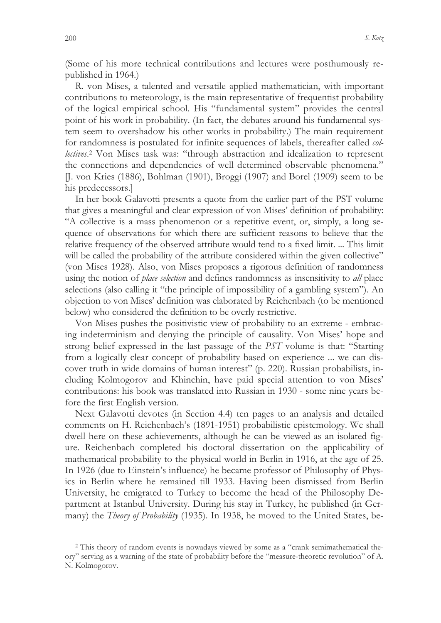(Some of his more technical contributions and lectures were posthumously republished in 1964.)

R. von Mises, a talented and versatile applied mathematician, with important contributions to meteorology, is the main representative of frequentist probability of the logical empirical school. His "fundamental system" provides the central point of his work in probability. (In fact, the debates around his fundamental system seem to overshadow his other works in probability.) The main requirement for randomness is postulated for infinite sequences of labels, thereafter called *collectives*. 2 Von Mises task was: "through abstraction and idealization to represent the connections and dependencies of well determined observable phenomena." [J. von Kries (1886), Bohlman (1901), Broggi (1907) and Borel (1909) seem to be his predecessors.]

In her book Galavotti presents a quote from the earlier part of the PST volume that gives a meaningful and clear expression of von Mises' definition of probability: "A collective is a mass phenomenon or a repetitive event, or, simply, a long sequence of observations for which there are sufficient reasons to believe that the relative frequency of the observed attribute would tend to a fixed limit. ... This limit will be called the probability of the attribute considered within the given collective" (von Mises 1928). Also, von Mises proposes a rigorous definition of randomness using the notion of *place selection* and defines randomness as insensitivity to *all* place selections (also calling it "the principle of impossibility of a gambling system"). An objection to von Mises' definition was elaborated by Reichenbach (to be mentioned below) who considered the definition to be overly restrictive.

Von Mises pushes the positivistic view of probability to an extreme - embracing indeterminism and denying the principle of causality. Von Mises' hope and strong belief expressed in the last passage of the *PST* volume is that: "Starting from a logically clear concept of probability based on experience ... we can discover truth in wide domains of human interest" (p. 220). Russian probabilists, including Kolmogorov and Khinchin, have paid special attention to von Mises' contributions: his book was translated into Russian in 1930 - some nine years before the first English version.

Next Galavotti devotes (in Section 4.4) ten pages to an analysis and detailed comments on H. Reichenbach's (1891-1951) probabilistic epistemology. We shall dwell here on these achievements, although he can be viewed as an isolated figure. Reichenbach completed his doctoral dissertation on the applicability of mathematical probability to the physical world in Berlin in 1916, at the age of 25. In 1926 (due to Einstein's influence) he became professor of Philosophy of Physics in Berlin where he remained till 1933. Having been dismissed from Berlin University, he emigrated to Turkey to become the head of the Philosophy Department at Istanbul University. During his stay in Turkey, he published (in Germany) the *Theory of Probability* (1935). In 1938, he moved to the United States, be-

 $\overline{a}$ 

<sup>2</sup> This theory of random events is nowadays viewed by some as a "crank semimathematical theory" serving as a warning of the state of probability before the "measure-theoretic revolution" of A. N. Kolmogorov.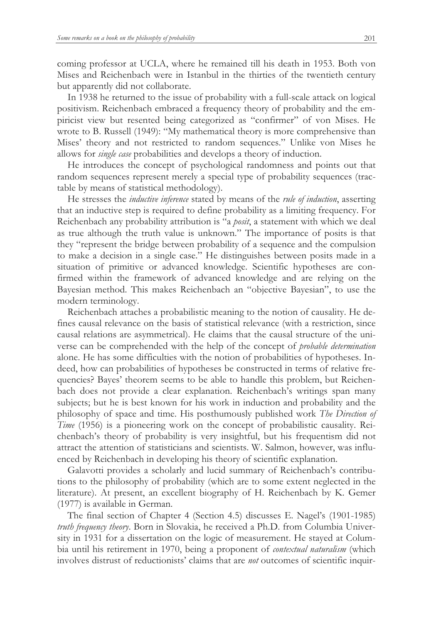coming professor at UCLA, where he remained till his death in 1953. Both von Mises and Reichenbach were in Istanbul in the thirties of the twentieth century but apparently did not collaborate.

In 1938 he returned to the issue of probability with a full-scale attack on logical positivism. Reichenbach embraced a frequency theory of probability and the empiricist view but resented being categorized as "confirmer" of von Mises. He wrote to B. Russell (1949): "My mathematical theory is more comprehensive than Mises' theory and not restricted to random sequences." Unlike von Mises he allows for *single case* probabilities and develops a theory of induction.

He introduces the concept of psychological randomness and points out that random sequences represent merely a special type of probability sequences (tractable by means of statistical methodology).

He stresses the *inductive inference* stated by means of the *rule of induction*, asserting that an inductive step is required to define probability as a limiting frequency. For Reichenbach any probability attribution is "a *posit*, a statement with which we deal as true although the truth value is unknown." The importance of posits is that they "represent the bridge between probability of a sequence and the compulsion to make a decision in a single case." He distinguishes between posits made in a situation of primitive or advanced knowledge. Scientific hypotheses are confirmed within the framework of advanced knowledge and are relying on the Bayesian method. This makes Reichenbach an "objective Bayesian", to use the modern terminology.

Reichenbach attaches a probabilistic meaning to the notion of causality. He defines causal relevance on the basis of statistical relevance (with a restriction, since causal relations are asymmetrical). He claims that the causal structure of the universe can be comprehended with the help of the concept of *probable determination* alone. He has some difficulties with the notion of probabilities of hypotheses. Indeed, how can probabilities of hypotheses be constructed in terms of relative frequencies? Bayes' theorem seems to be able to handle this problem, but Reichenbach does not provide a clear explanation. Reichenbach's writings span many subjects; but he is best known for his work in induction and probability and the philosophy of space and time. His posthumously published work *The Direction of Time* (1956) is a pioneering work on the concept of probabilistic causality. Reichenbach's theory of probability is very insightful, but his frequentism did not attract the attention of statisticians and scientists. W. Salmon, however, was influenced by Reichenbach in developing his theory of scientific explanation.

Galavotti provides a scholarly and lucid summary of Reichenbach's contributions to the philosophy of probability (which are to some extent neglected in the literature). At present, an excellent biography of H. Reichenbach by K. Gemer (1977) is available in German.

The final section of Chapter 4 (Section 4.5) discusses E. Nagel's (1901-1985) *truth frequency theory*. Born in Slovakia, he received a Ph.D. from Columbia University in 1931 for a dissertation on the logic of measurement. He stayed at Columbia until his retirement in 1970, being a proponent of *contextual naturalism* (which involves distrust of reductionists' claims that are *not* outcomes of scientific inquir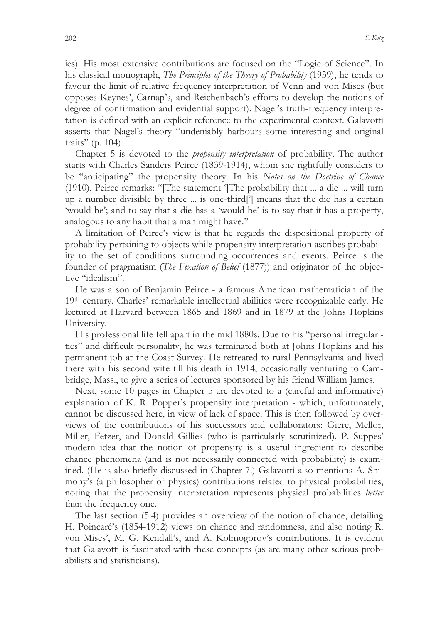ies). His most extensive contributions are focused on the "Logic of Science". In his classical monograph, *The Principles of the Theory of Probability* (1939), he tends to favour the limit of relative frequency interpretation of Venn and von Mises (but opposes Keynes', Carnap's, and Reichenbach's efforts to develop the notions of degree of confirmation and evidential support). Nagel's truth-frequency interpretation is defined with an explicit reference to the experimental context. Galavotti asserts that Nagel's theory "undeniably harbours some interesting and original traits" (p. 104).

Chapter 5 is devoted to the *propensity interpretation* of probability. The author starts with Charles Sanders Peirce (1839-1914), whom she rightfully considers to be "anticipating" the propensity theory. In his *Notes on the Doctrine of Chance* (1910), Peirce remarks: "[The statement ']The probability that ... a die ... will turn up a number divisible by three ... is one-third['] means that the die has a certain 'would be'; and to say that a die has a 'would be' is to say that it has a property, analogous to any habit that a man might have."

A limitation of Peirce's view is that he regards the dispositional property of probability pertaining to objects while propensity interpretation ascribes probability to the set of conditions surrounding occurrences and events. Peirce is the founder of pragmatism (*The Fixation of Belief* (1877)) and originator of the objective "idealism".

He was a son of Benjamin Peirce - a famous American mathematician of the 19th century. Charles' remarkable intellectual abilities were recognizable early. He lectured at Harvard between 1865 and 1869 and in 1879 at the Johns Hopkins University.

His professional life fell apart in the mid 1880s. Due to his "personal irregularities" and difficult personality, he was terminated both at Johns Hopkins and his permanent job at the Coast Survey. He retreated to rural Pennsylvania and lived there with his second wife till his death in 1914, occasionally venturing to Cambridge, Mass., to give a series of lectures sponsored by his friend William James.

Next, some 10 pages in Chapter 5 are devoted to a (careful and informative) explanation of K. R. Popper's propensity interpretation - which, unfortunately, cannot be discussed here, in view of lack of space. This is then followed by overviews of the contributions of his successors and collaborators: Giere, Mellor, Miller, Fetzer, and Donald Gillies (who is particularly scrutinized). P. Suppes' modern idea that the notion of propensity is a useful ingredient to describe chance phenomena (and is not necessarily connected with probability) is examined. (He is also briefly discussed in Chapter 7.) Galavotti also mentions A. Shimony's (a philosopher of physics) contributions related to physical probabilities, noting that the propensity interpretation represents physical probabilities *better* than the frequency one.

The last section (5.4) provides an overview of the notion of chance, detailing H. Poincaré's (1854-1912) views on chance and randomness, and also noting R. von Mises', M. G. Kendall's, and A. Kolmogorov's contributions. It is evident that Galavotti is fascinated with these concepts (as are many other serious probabilists and statisticians).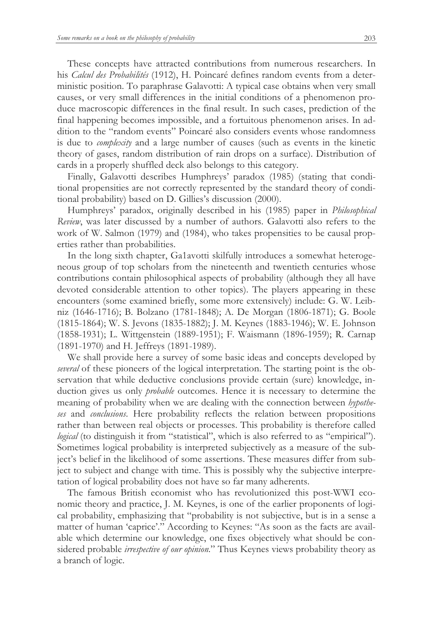These concepts have attracted contributions from numerous researchers. In his *Calcul des Probabilités* (1912), H. Poincaré defines random events from a deterministic position. To paraphrase Galavotti: A typical case obtains when very small causes, or very small differences in the initial conditions of a phenomenon produce macroscopic differences in the final result. In such cases, prediction of the final happening becomes impossible, and a fortuitous phenomenon arises. In addition to the "random events" Poincaré also considers events whose randomness is due to *complexity* and a large number of causes (such as events in the kinetic theory of gases, random distribution of rain drops on a surface). Distribution of cards in a properly shuffled deck also belongs to this category.

Finally, Galavotti describes Humphreys' paradox (1985) (stating that conditional propensities are not correctly represented by the standard theory of conditional probability) based on D. Gillies's discussion (2000).

Humphreys' paradox, originally described in his (1985) paper in *Philosophical Review*, was later discussed by a number of authors. Galavotti also refers to the work of W. Salmon (1979) and (1984), who takes propensities to be causal properties rather than probabilities.

In the long sixth chapter, Ga1avotti skilfully introduces a somewhat heterogeneous group of top scholars from the nineteenth and twentieth centuries whose contributions contain philosophical aspects of probability (although they all have devoted considerable attention to other topics). The players appearing in these encounters (some examined briefly, some more extensively) include: G. W. Leibniz (1646-1716); B. Bolzano (1781-1848); A. De Morgan (1806-1871); G. Boole (1815-1864); W. S. Jevons (1835-1882); J. M. Keynes (1883-1946); W. E. Johnson (1858-1931); L. Wittgenstein (1889-1951); F. Waismann (1896-1959); R. Carnap (1891-1970) and H. Jeffreys (1891-1989).

We shall provide here a survey of some basic ideas and concepts developed by *several* of these pioneers of the logical interpretation. The starting point is the observation that while deductive conclusions provide certain (sure) knowledge, induction gives us only *probable* outcomes. Hence it is necessary to determine the meaning of probability when we are dealing with the connection between *hypotheses* and *conclusions*. Here probability reflects the relation between propositions rather than between real objects or processes. This probability is therefore called *logical* (to distinguish it from "statistical", which is also referred to as "empirical"). Sometimes logical probability is interpreted subjectively as a measure of the subject's belief in the likelihood of some assertions. These measures differ from subject to subject and change with time. This is possibly why the subjective interpretation of logical probability does not have so far many adherents.

The famous British economist who has revolutionized this post-WWI economic theory and practice, J. M. Keynes, is one of the earlier proponents of logical probability, emphasizing that "probability is not subjective, but is in a sense a matter of human 'caprice'." According to Keynes: "As soon as the facts are available which determine our knowledge, one fixes objectively what should be considered probable *irrespective of our opinion*." Thus Keynes views probability theory as a branch of logic.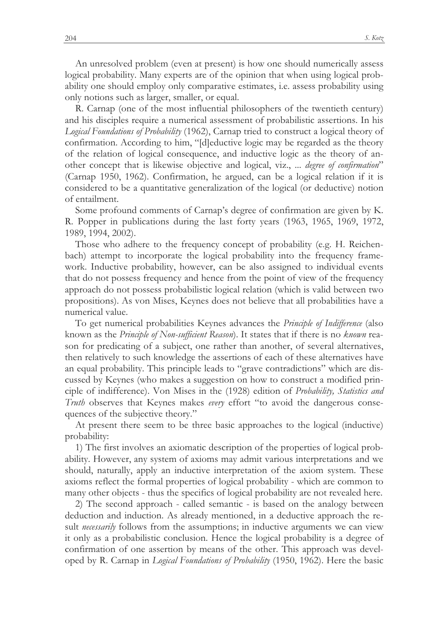An unresolved problem (even at present) is how one should numerically assess logical probability. Many experts are of the opinion that when using logical probability one should employ only comparative estimates, i.e. assess probability using only notions such as larger, smaller, or equal.

R. Carnap (one of the most influential philosophers of the twentieth century) and his disciples require a numerical assessment of probabilistic assertions. In his *Logical Foundations of Probability* (1962), Carnap tried to construct a logical theory of confirmation. According to him, "[d]eductive logic may be regarded as the theory of the relation of logical consequence, and inductive logic as the theory of another concept that is likewise objective and logical, viz., ... *degree of confirmation*" (Carnap 1950, 1962). Confirmation, he argued, can be a logical relation if it is considered to be a quantitative generalization of the logical (or deductive) notion of entailment.

Some profound comments of Carnap's degree of confirmation are given by K. R. Popper in publications during the last forty years (1963, 1965, 1969, 1972, 1989, 1994, 2002).

Those who adhere to the frequency concept of probability (e.g. H. Reichenbach) attempt to incorporate the logical probability into the frequency framework. Inductive probability, however, can be also assigned to individual events that do not possess frequency and hence from the point of view of the frequency approach do not possess probabilistic logical relation (which is valid between two propositions). As von Mises, Keynes does not believe that all probabilities have a numerical value.

To get numerical probabilities Keynes advances the *Principle of Indifference* (also known as the *Principle of Non-sufficient Reason*). It states that if there is no *known* reason for predicating of a subject, one rather than another, of several alternatives, then relatively to such knowledge the assertions of each of these alternatives have an equal probability. This principle leads to "grave contradictions" which are discussed by Keynes (who makes a suggestion on how to construct a modified principle of indifference). Von Mises in the (1928) edition of *Probability, Statistics and Truth* observes that Keynes makes *every* effort "to avoid the dangerous consequences of the subjective theory."

At present there seem to be three basic approaches to the logical (inductive) probability:

1) The first involves an axiomatic description of the properties of logical probability. However, any system of axioms may admit various interpretations and we should, naturally, apply an inductive interpretation of the axiom system. These axioms reflect the formal properties of logical probability - which are common to many other objects - thus the specifics of logical probability are not revealed here.

2) The second approach - called semantic - is based on the analogy between deduction and induction. As already mentioned, in a deductive approach the result *necessarily* follows from the assumptions; in inductive arguments we can view it only as a probabilistic conclusion. Hence the logical probability is a degree of confirmation of one assertion by means of the other. This approach was developed by R. Carnap in *Logical Foundations of Probability* (1950, 1962). Here the basic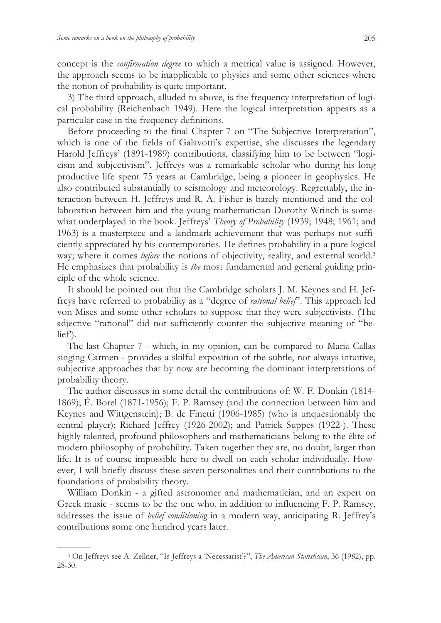concept is the *confirmation degree* to which a metrical value is assigned. However, the approach seems to be inapplicable to physics and some other sciences where the notion of probability is quite important.

3) The third approach, alluded to above, is the frequency interpretation of logical probability (Reichenbach 1949). Here the logical interpretation appears as a particular case in the frequency definitions.

Before proceeding to the final Chapter 7 on "The Subjective Interpretation", which is one of the fields of Galavotti's expertise, she discusses the legendary Harold Jeffreys' (1891-1989) contributions, classifying him to be between "logicism and subjectivism". Jeffreys was a remarkable scholar who during his long productive life spent 75 years at Cambridge, being a pioneer in geophysics. He also contributed substantially to seismology and meteorology. Regrettably, the interaction between H. Jeffreys and R. A. Fisher is barely mentioned and the collaboration between him and the young mathematician Dorothy Wrinch is somewhat underplayed in the book. Jeffreys' *Theory of Probability* (1939; 1948; 1961; and 1963) is a masterpiece and a landmark achievement that was perhaps not sufficiently appreciated by his contemporaries. He defines probability in a pure logical way; where it comes *before* the notions of objectivity, reality, and external world.<sup>3</sup> He emphasizes that probability is *the* most fundamental and general guiding principle of the whole science.

It should be pointed out that the Cambridge scholars J. M. Keynes and H. Jeffreys have referred to probability as a "degree of *rational belief*". This approach led von Mises and some other scholars to suppose that they were subjectivists. (The adjective "rational" did not sufficiently counter the subjective meaning of "belief').

The last Chapter 7 - which, in my opinion, can be compared to Maria Callas singing Carmen - provides a skilful exposition of the subtle, not always intuitive, subjective approaches that by now are becoming the dominant interpretations of probability theory.

The author discusses in some detail the contributions of: W. F. Donkin (1814- 1869); É. Borel (1871-1956); F. P. Ramsey (and the connection between him and Keynes and Wittgenstein); B. de Finetti (1906-1985) (who is unquestionably the central player); Richard Jeffrey (1926-2002); and Patrick Suppes (1922-). These highly talented, profound philosophers and mathematicians belong to the élite of modern philosophy of probability. Taken together they are, no doubt, larger than life. It is of course impossible here to dwell on each scholar individually. However, I will briefly discuss these seven personalities and their contributions to the foundations of probability theory.

William Donkin - a gifted astronomer and mathematician, and an expert on Greek music - seems to be the one who, in addition to influencing F. P. Ramsey, addresses the issue of *belief conditioning* in a modern way, anticipating R. Jeffrey's contributions some one hundred years later.

 $\overline{a}$ 

<sup>3</sup> On Jeffreys see A. Zellner, "Is Jeffreys a 'Necessarist'?", *The American Statistician*, 36 (1982), pp. 28-30.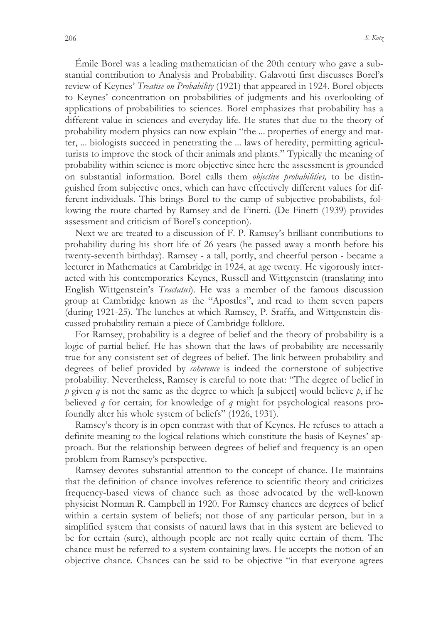Émile Borel was a leading mathematician of the 20th century who gave a substantial contribution to Analysis and Probability. Galavotti first discusses Borel's review of Keynes' *Treatise on Probability* (1921) that appeared in 1924. Borel objects to Keynes' concentration on probabilities of judgments and his overlooking of applications of probabilities to sciences. Borel emphasizes that probability has a different value in sciences and everyday life. He states that due to the theory of probability modern physics can now explain "the ... properties of energy and matter, ... biologists succeed in penetrating the ... laws of heredity, permitting agriculturists to improve the stock of their animals and plants." Typically the meaning of probability within science is more objective since here the assessment is grounded on substantial information. Borel calls them *objective probabilities,* to be distinguished from subjective ones, which can have effectively different values for different individuals. This brings Borel to the camp of subjective probabilists, following the route charted by Ramsey and de Finetti. (De Finetti (1939) provides assessment and criticism of Borel's conception).

Next we are treated to a discussion of F. P. Ramsey's brilliant contributions to probability during his short life of 26 years (he passed away a month before his twenty-seventh birthday). Ramsey - a tall, portly, and cheerful person - became a lecturer in Mathematics at Cambridge in 1924, at age twenty. He vigorously interacted with his contemporaries Keynes, Russell and Wittgenstein (translating into English Wittgenstein's *Tractatus*). He was a member of the famous discussion group at Cambridge known as the "Apostles", and read to them seven papers (during 1921-25). The lunches at which Ramsey, P. Sraffa, and Wittgenstein discussed probability remain a piece of Cambridge folklore.

For Ramsey, probability is a degree of belief and the theory of probability is a logic of partial belief. He has shown that the laws of probability are necessarily true for any consistent set of degrees of belief. The link between probability and degrees of belief provided by *coherence* is indeed the cornerstone of subjective probability. Nevertheless, Ramsey is careful to note that: "The degree of belief in *p* given *q* is not the same as the degree to which [a subject] would believe *p*, if he believed *q* for certain; for knowledge of *q* might for psychological reasons profoundly alter his whole system of beliefs" (1926, 1931).

Ramsey's theory is in open contrast with that of Keynes. He refuses to attach a definite meaning to the logical relations which constitute the basis of Keynes' approach. But the relationship between degrees of belief and frequency is an open problem from Ramsey's perspective.

Ramsey devotes substantial attention to the concept of chance. He maintains that the definition of chance involves reference to scientific theory and criticizes frequency-based views of chance such as those advocated by the well-known physicist Norman R. Campbell in 1920. For Ramsey chances are degrees of belief within a certain system of beliefs; not those of any particular person, but in a simplified system that consists of natural laws that in this system are believed to be for certain (sure), although people are not really quite certain of them. The chance must be referred to a system containing laws. He accepts the notion of an objective chance. Chances can be said to be objective "in that everyone agrees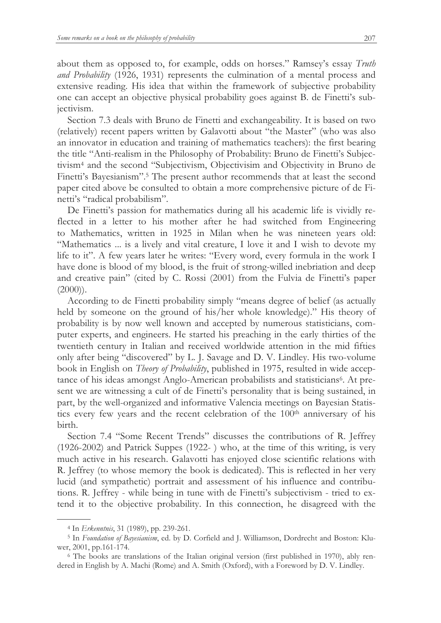about them as opposed to, for example, odds on horses." Ramsey's essay *Truth and Probability* (1926, 1931) represents the culmination of a mental process and extensive reading. His idea that within the framework of subjective probability one can accept an objective physical probability goes against B. de Finetti's subjectivism.

Section 7.3 deals with Bruno de Finetti and exchangeability. It is based on two (relatively) recent papers written by Galavotti about "the Master" (who was also an innovator in education and training of mathematics teachers): the first bearing the title "Anti-realism in the Philosophy of Probability: Bruno de Finetti's Subjectivism<sup>4</sup> and the second "Subjectivism, Objectivisim and Objectivity in Bruno de Finetti's Bayesianism".<sup>5</sup> The present author recommends that at least the second paper cited above be consulted to obtain a more comprehensive picture of de Finetti's "radical probabilism".

De Finetti's passion for mathematics during all his academic life is vividly reflected in a letter to his mother after he had switched from Engineering to Mathematics, written in 1925 in Milan when he was nineteen years old: "Mathematics ... is a lively and vital creature, I love it and I wish to devote my life to it". A few years later he writes: "Every word, every formula in the work I have done is blood of my blood, is the fruit of strong-willed inebriation and deep and creative pain" (cited by C. Rossi (2001) from the Fulvia de Finetti's paper  $(2000)$ ).

According to de Finetti probability simply "means degree of belief (as actually held by someone on the ground of his/her whole knowledge)." His theory of probability is by now well known and accepted by numerous statisticians, computer experts, and engineers. He started his preaching in the early thirties of the twentieth century in Italian and received worldwide attention in the mid fifties only after being "discovered" by L. J. Savage and D. V. Lindley. His two-volume book in English on *Theory of Probability*, published in 1975, resulted in wide acceptance of his ideas amongst Anglo-American probabilists and statisticians<sup>6</sup>. At present we are witnessing a cult of de Finetti's personality that is being sustained, in part, by the well-organized and informative Valencia meetings on Bayesian Statistics every few years and the recent celebration of the 100<sup>th</sup> anniversary of his birth.

Section 7.4 "Some Recent Trends" discusses the contributions of R. Jeffrey (1926-2002) and Patrick Suppes (1922- ) who, at the time of this writing, is very much active in his research. Galavotti has enjoyed close scientific relations with R. Jeffrey (to whose memory the book is dedicated). This is reflected in her very lucid (and sympathetic) portrait and assessment of his influence and contributions. R. Jeffrey - while being in tune with de Finetti's subjectivism - tried to extend it to the objective probability. In this connection, he disagreed with the

 $\overline{a}$ 

<sup>4</sup> In *Erkenntnis*, 31 (1989), pp. 239-261.

<sup>5</sup> In *Foundation of Bayesianism*, ed. by D. Corfield and J. Williamson, Dordrecht and Boston: Kluwer, 2001, pp.161-174.

<sup>6</sup> The books are translations of the Italian original version (first published in 1970), ably rendered in English by A. Machi (Rome) and A. Smith (Oxford), with a Foreword by D. V. Lindley.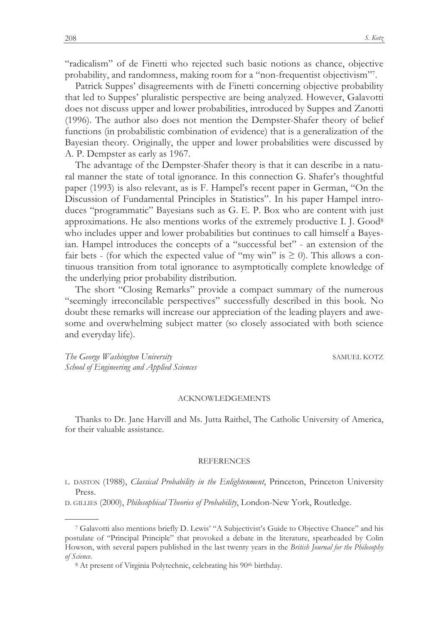"radicalism" of de Finetti who rejected such basic notions as chance, objective probability, and randomness, making room for a "non-frequentist objectivism"<sup>7</sup> .

Patrick Suppes' disagreements with de Finetti concerning objective probability that led to Suppes' pluralistic perspective are being analyzed. However, Galavotti does not discuss upper and lower probabilities, introduced by Suppes and Zanotti (1996). The author also does not mention the Dempster-Shafer theory of belief functions (in probabilistic combination of evidence) that is a generalization of the Bayesian theory. Originally, the upper and lower probabilities were discussed by A. P. Dempster as early as 1967.

The advantage of the Dempster-Shafer theory is that it can describe in a natural manner the state of total ignorance. In this connection G. Shafer's thoughtful paper (1993) is also relevant, as is F. Hampel's recent paper in German, "On the Discussion of Fundamental Principles in Statistics". In his paper Hampel introduces "programmatic" Bayesians such as G. E. P. Box who are content with just approximations. He also mentions works of the extremely productive I. J. Good<sup>8</sup> who includes upper and lower probabilities but continues to call himself a Bayesian. Hampel introduces the concepts of a "successful bet" - an extension of the fair bets - (for which the expected value of "my win" is  $\geq$  0). This allows a continuous transition from total ignorance to asymptotically complete knowledge of the underlying prior probability distribution.

The short "Closing Remarks" provide a compact summary of the numerous "seemingly irreconcilable perspectives" successfully described in this book. No doubt these remarks will increase our appreciation of the leading players and awesome and overwhelming subject matter (so closely associated with both science and everyday life).

*The George Washington University* SAMUEL KOTZ *School of Engineering and Applied Sciences* 

 $\overline{a}$ 

## ACKNOWLEDGEMENTS

Thanks to Dr. Jane Harvill and Ms. Jutta Raithel, The Catholic University of America, for their valuable assistance.

## **REFERENCES**

<sup>L</sup>. DASTON (1988), *Classical Probability in the Enlightenment*, Princeton, Princeton University Press.

<sup>D</sup>. GILLIES (2000), *Philosophical Theories of Probability*, London-New York, Routledge.

<sup>7</sup> Galavotti also mentions briefly D. Lewis' "A Subjectivist's Guide to Objective Chance" and his postulate of "Principal Principle" that provoked a debate in the literature, spearheaded by Colin Howson, with several papers published in the last twenty years in the *British Journal for the Philosophy of Science*.

<sup>&</sup>lt;sup>8</sup> At present of Virginia Polytechnic, celebrating his 90<sup>th</sup> birthday.